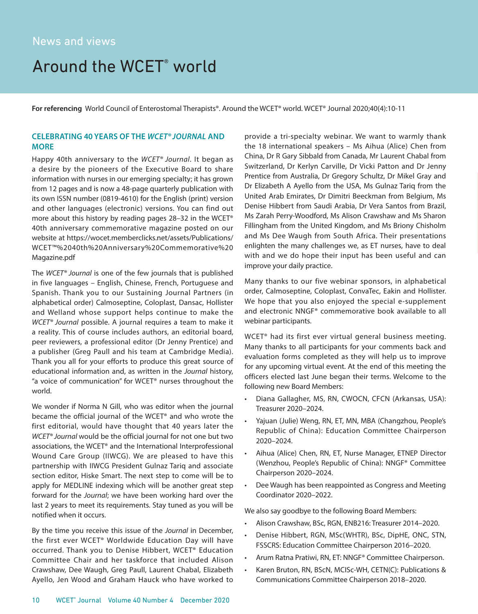## Around the WCET<sup>®</sup> world

**For referencing** World Council of Enterostomal Therapists®. Around the WCET® world. WCET® Journal 2020;40(4):10-11

## **CELEBRATING 40 YEARS OF THE** *WCET® JOURNAL* **AND MORE**

Happy 40th anniversary to the *WCET® Journal*. It began as a desire by the pioneers of the Executive Board to share information with nurses in our emerging specialty; it has grown from 12 pages and is now a 48-page quarterly publication with its own ISSN number (0819-4610) for the English (print) version and other languages (electronic) versions. You can find out more about this history by reading pages 28–32 in the WCET® 40th anniversary commemorative magazine posted on our website at https://wocet.memberclicks.net/assets/Publications/ WCET™%2040th%20Anniversary%20Commemorative%20 Magazine.pdf

The *WCET® Journal* is one of the few journals that is published in five languages – English, Chinese, French, Portuguese and Spanish. Thank you to our Sustaining Journal Partners (in alphabetical order) Calmoseptine, Coloplast, Dansac, Hollister and Welland whose support helps continue to make the *WCET® Journal* possible. A journal requires a team to make it a reality. This of course includes authors, an editorial board, peer reviewers, a professional editor (Dr Jenny Prentice) and a publisher (Greg Paull and his team at Cambridge Media). Thank you all for your efforts to produce this great source of educational information and, as written in the *Journal* history, "a voice of communication" for WCET® nurses throughout the world.

We wonder if Norma N Gill, who was editor when the journal became the official journal of the WCET® and who wrote the first editorial, would have thought that 40 years later the *WCET® Journal* would be the official journal for not one but two associations, the WCET® and the International Interprofessional Wound Care Group (IIWCG). We are pleased to have this partnership with IIWCG President Gulnaz Tariq and associate section editor, Hiske Smart. The next step to come will be to apply for MEDLINE indexing which will be another great step forward for the *Journal*; we have been working hard over the last 2 years to meet its requirements. Stay tuned as you will be notified when it occurs.

By the time you receive this issue of the *Journal* in December, the first ever WCET® Worldwide Education Day will have occurred. Thank you to Denise Hibbert, WCET® Education Committee Chair and her taskforce that included Alison Crawshaw, Dee Waugh, Greg Paull, Laurent Chabal, Elizabeth Ayello, Jen Wood and Graham Hauck who have worked to

provide a tri-specialty webinar. We want to warmly thank the 18 international speakers – Ms Aihua (Alice) Chen from China, Dr R Gary Sibbald from Canada, Mr Laurent Chabal from Switzerland, Dr Kerlyn Carville, Dr Vicki Patton and Dr Jenny Prentice from Australia, Dr Gregory Schultz, Dr Mikel Gray and Dr Elizabeth A Ayello from the USA, Ms Gulnaz Tariq from the United Arab Emirates, Dr Dimitri Beeckman from Belgium, Ms Denise Hibbert from Saudi Arabia, Dr Vera Santos from Brazil, Ms Zarah Perry-Woodford, Ms Alison Crawshaw and Ms Sharon Fillingham from the United Kingdom, and Ms Briony Chisholm and Ms Dee Waugh from South Africa. Their presentations enlighten the many challenges we, as ET nurses, have to deal with and we do hope their input has been useful and can improve your daily practice.

Many thanks to our five webinar sponsors, in alphabetical order, Calmoseptine, Coloplast, ConvaTec, Eakin and Hollister. We hope that you also enjoyed the special e-supplement and electronic NNGF® commemorative book available to all webinar participants.

WCET® had its first ever virtual general business meeting. Many thanks to all participants for your comments back and evaluation forms completed as they will help us to improve for any upcoming virtual event. At the end of this meeting the officers elected last June began their terms. Welcome to the following new Board Members:

- Diana Gallagher, MS, RN, CWOCN, CFCN (Arkansas, USA): Treasurer 2020–2024.
- Yajuan (Julie) Weng, RN, ET, MN, MBA (Changzhou, People's Republic of China): Education Committee Chairperson 2020–2024.
- Aihua (Alice) Chen, RN, ET, Nurse Manager, ETNEP Director (Wenzhou, People's Republic of China): NNGF® Committee Chairperson 2020–2024.
- Dee Waugh has been reappointed as Congress and Meeting Coordinator 2020–2022.

We also say goodbye to the following Board Members:

- Alison Crawshaw, BSc, RGN, ENB216: Treasurer 2014–2020.
- Denise Hibbert, RGN, MSc(WHTR), BSc, DipHE, ONC, STN, FSSCRS: Education Committee Chairperson 2016–2020.
- Arum Ratna Pratiwi, RN, ET: NNGF® Committee Chairperson.
- Karen Bruton, RN, BScN, MCISc-WH, CETN(C): Publications & Communications Committee Chairperson 2018–2020.